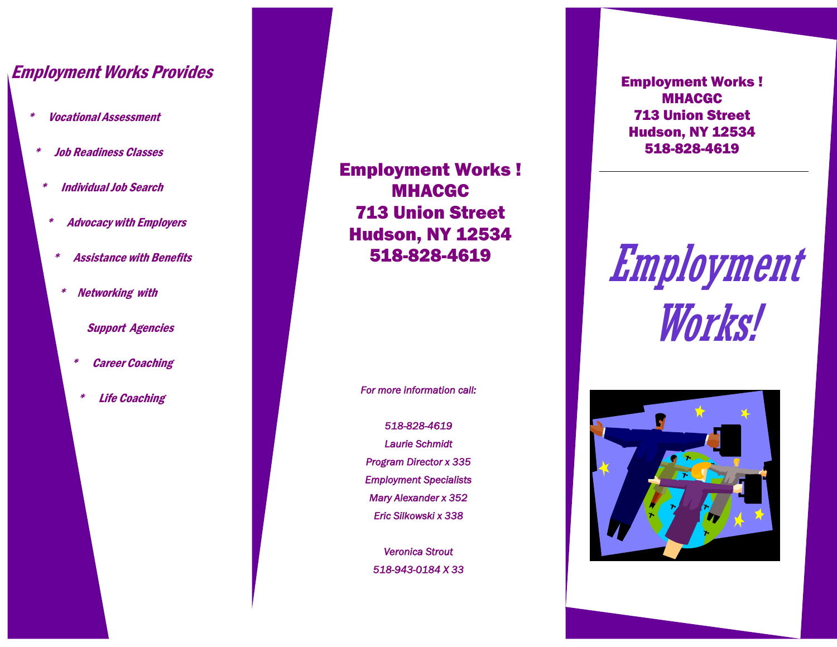# Employment Works Provides

- \* Vocational Assessment
	- \* Job Readiness Classes
	- **Individual Job Search**
	- \* Advocacy with Employers
	- **Assistance with Benefits**
	- \* Networking with

#### Support Agencies

- **Career Coaching**
- **Life Coaching**

Employment Works ! MHACGC 713 Union Street Hudson, NY 12534 518-828-4619

*For more information call:* 

*518-828-4619 Laurie Schmidt Program Director x 335 Employment Specialists Mary Alexander x 352 Eric Silkowski x 338* 

*Veronica Strout 518-943-0184 X 33*  Employment Works ! MHACGC 713 Union Street Hudson, NY 12534 518-828-4619

Employment Works!